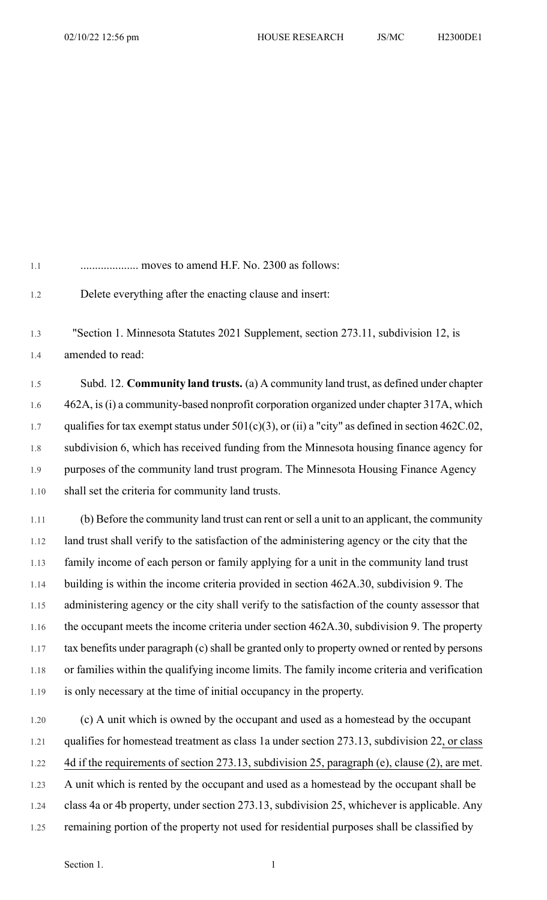1.1 .................... moves to amend H.F. No. 2300 as follows: 1.2 Delete everything after the enacting clause and insert: 1.3 "Section 1. Minnesota Statutes 2021 Supplement, section 273.11, subdivision 12, is 1.4 amended to read: 1.5 Subd. 12. **Community land trusts.** (a) A community land trust, as defined under chapter 1.6 462A, is(i) a community-based nonprofit corporation organized under chapter 317A, which 1.7 qualifies for tax exempt status under 501(c)(3), or (ii) a "city" as defined in section 462C.02, 1.8 subdivision 6, which has received funding from the Minnesota housing finance agency for 1.9 purposes of the community land trust program. The Minnesota Housing Finance Agency 1.10 shall set the criteria for community land trusts. 1.11 (b) Before the community land trust can rent orsell a unit to an applicant, the community 1.12 land trust shall verify to the satisfaction of the administering agency or the city that the 1.13 family income of each person or family applying for a unit in the community land trust

1.14 building is within the income criteria provided in section 462A.30, subdivision 9. The 1.15 administering agency or the city shall verify to the satisfaction of the county assessor that 1.16 the occupant meets the income criteria under section 462A.30, subdivision 9. The property 1.17 tax benefits under paragraph (c) shall be granted only to property owned or rented by persons 1.18 or families within the qualifying income limits. The family income criteria and verification 1.19 is only necessary at the time of initial occupancy in the property.

1.20 (c) A unit which is owned by the occupant and used as a homestead by the occupant 1.21 qualifies for homestead treatment as class 1a under section 273.13, subdivision 22, or class 1.22 4d if the requirements of section 273.13, subdivision 25, paragraph (e), clause (2), are met. 1.23 A unit which is rented by the occupant and used as a homestead by the occupant shall be 1.24 class 4a or 4b property, under section 273.13, subdivision 25, whichever is applicable. Any 1.25 remaining portion of the property not used for residential purposes shall be classified by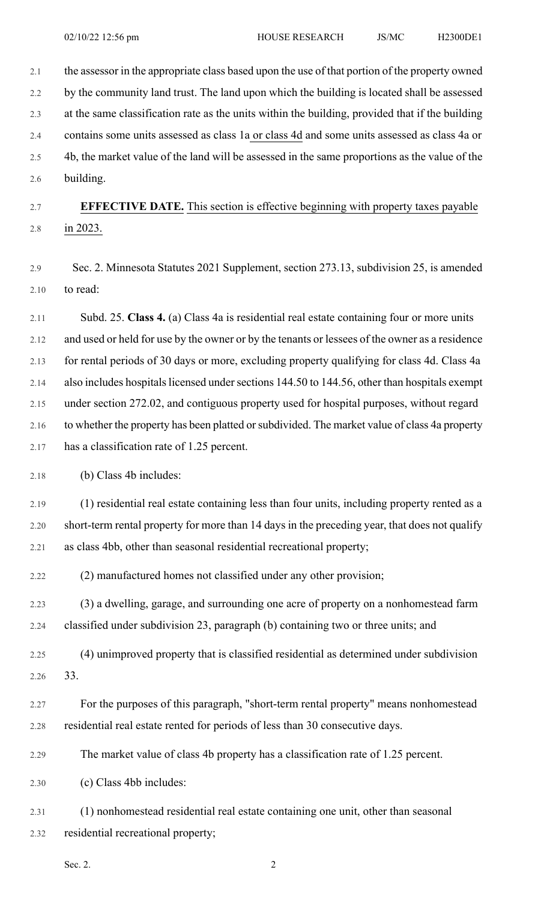2.1 the assessor in the appropriate class based upon the use of that portion of the property owned 2.2 by the community land trust. The land upon which the building is located shall be assessed 2.3 at the same classification rate as the units within the building, provided that if the building 2.4 contains some units assessed as class 1a or class 4d and some units assessed as class 4a or 2.5 4b, the market value of the land will be assessed in the same proportions as the value of the 2.6 building.

2.7 **EFFECTIVE DATE.** This section is effective beginning with property taxes payable 2.8 in 2023.

2.9 Sec. 2. Minnesota Statutes 2021 Supplement, section 273.13, subdivision 25, is amended 2.10 to read:

2.11 Subd. 25. **Class 4.** (a) Class 4a is residential real estate containing four or more units 2.12 and used or held for use by the owner or by the tenants or lessees of the owner as a residence 2.13 for rental periods of 30 days or more, excluding property qualifying for class 4d. Class 4a 2.14 also includes hospitals licensed under sections 144.50 to 144.56, other than hospitals exempt 2.15 under section 272.02, and contiguous property used for hospital purposes, without regard 2.16 to whether the property has been platted or subdivided. The market value of class 4a property 2.17 has a classification rate of 1.25 percent.

2.18 (b) Class 4b includes:

2.19 (1) residential real estate containing less than four units, including property rented as a 2.20 short-term rental property for more than 14 days in the preceding year, that does not qualify 2.21 as class 4bb, other than seasonal residential recreational property;

2.22 (2) manufactured homes not classified under any other provision;

2.23 (3) a dwelling, garage, and surrounding one acre of property on a nonhomestead farm 2.24 classified under subdivision 23, paragraph (b) containing two or three units; and

2.25 (4) unimproved property that is classified residential as determined under subdivision 2.26 33.

2.27 For the purposes of this paragraph, "short-term rental property" means nonhomestead 2.28 residential real estate rented for periods of less than 30 consecutive days.

2.29 The market value of class 4b property has a classification rate of 1.25 percent.

2.30 (c) Class 4bb includes:

2.31 (1) nonhomestead residential real estate containing one unit, other than seasonal 2.32 residential recreational property;

Sec. 2.  $\hspace{2.5cm}$  2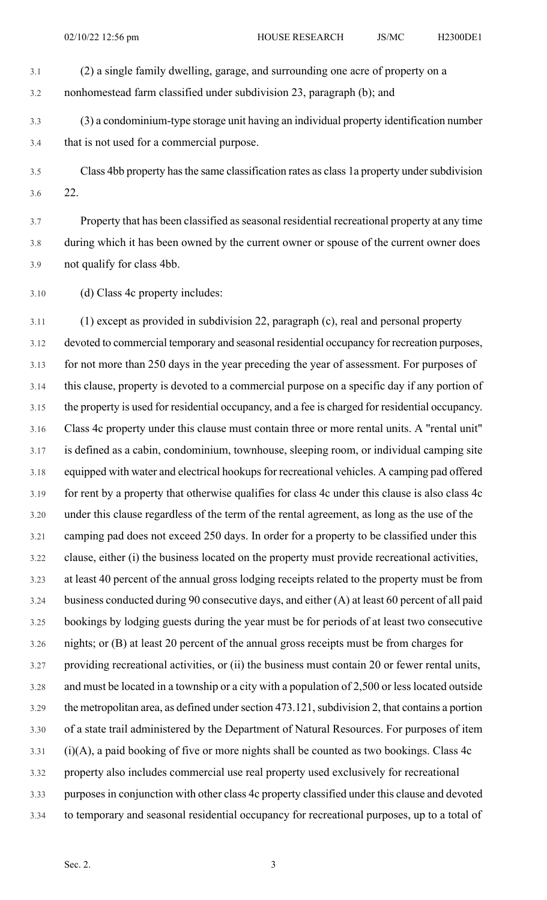- 3.1 (2) a single family dwelling, garage, and surrounding one acre of property on a
- 3.2 nonhomestead farm classified under subdivision 23, paragraph (b); and
- 3.3 (3) a condominium-type storage unit having an individual property identification number 3.4 that is not used for a commercial purpose.
- 
- 3.5 Class 4bb property has the same classification rates as class 1a property under subdivision 3.6 22.

3.7 Property that has been classified asseasonal residential recreational property at any time 3.8 during which it has been owned by the current owner or spouse of the current owner does 3.9 not qualify for class 4bb.

3.10 (d) Class 4c property includes:

3.11 (1) except as provided in subdivision 22, paragraph (c), real and personal property 3.12 devoted to commercial temporary and seasonal residential occupancy for recreation purposes, 3.13 for not more than 250 days in the year preceding the year of assessment. For purposes of 3.14 this clause, property is devoted to a commercial purpose on a specific day if any portion of 3.15 the property is used for residential occupancy, and a fee is charged for residential occupancy. 3.16 Class 4c property under this clause must contain three or more rental units. A "rental unit" 3.17 is defined as a cabin, condominium, townhouse, sleeping room, or individual camping site 3.18 equipped with water and electrical hookups for recreational vehicles. A camping pad offered 3.19 for rent by a property that otherwise qualifies for class 4c under this clause is also class 4c 3.20 under this clause regardless of the term of the rental agreement, as long as the use of the 3.21 camping pad does not exceed 250 days. In order for a property to be classified under this 3.22 clause, either (i) the business located on the property must provide recreational activities, 3.23 at least 40 percent of the annual gross lodging receipts related to the property must be from 3.24 business conducted during 90 consecutive days, and either (A) at least 60 percent of all paid 3.25 bookings by lodging guests during the year must be for periods of at least two consecutive 3.26 nights; or (B) at least 20 percent of the annual gross receipts must be from charges for 3.27 providing recreational activities, or (ii) the business must contain 20 or fewer rental units, 3.28 and must be located in a township or a city with a population of 2,500 or lesslocated outside 3.29 the metropolitan area, as defined under section 473.121, subdivision 2, that contains a portion 3.30 of a state trail administered by the Department of Natural Resources. For purposes of item 3.31 (i)(A), a paid booking of five or more nights shall be counted as two bookings. Class 4c 3.32 property also includes commercial use real property used exclusively for recreational 3.33 purposesin conjunction with other class 4c property classified under this clause and devoted 3.34 to temporary and seasonal residential occupancy for recreational purposes, up to a total of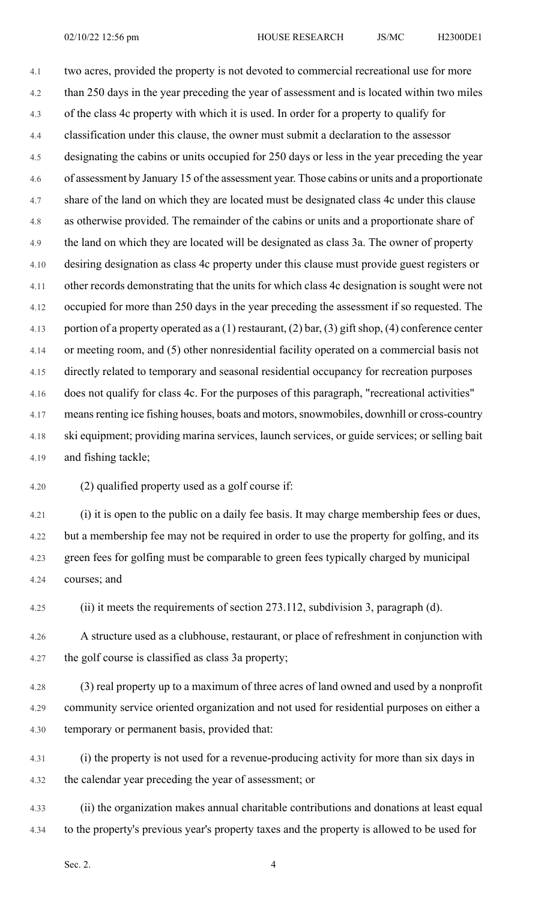4.1 two acres, provided the property is not devoted to commercial recreational use for more 4.2 than 250 days in the year preceding the year of assessment and is located within two miles 4.3 of the class 4c property with which it is used. In order for a property to qualify for 4.4 classification under this clause, the owner must submit a declaration to the assessor 4.5 designating the cabins or units occupied for 250 days or less in the year preceding the year 4.6 of assessment by January 15 of the assessment year. Those cabins or units and a proportionate 4.7 share of the land on which they are located must be designated class 4c under this clause 4.8 as otherwise provided. The remainder of the cabins or units and a proportionate share of 4.9 the land on which they are located will be designated as class 3a. The owner of property 4.10 desiring designation as class 4c property under this clause must provide guest registers or 4.11 other records demonstrating that the units for which class 4c designation is sought were not 4.12 occupied for more than 250 days in the year preceding the assessment if so requested. The 4.13 portion of a property operated as a (1) restaurant, (2) bar, (3) gift shop, (4) conference center 4.14 or meeting room, and (5) other nonresidential facility operated on a commercial basis not 4.15 directly related to temporary and seasonal residential occupancy for recreation purposes 4.16 does not qualify for class 4c. For the purposes of this paragraph, "recreational activities" 4.17 means renting ice fishing houses, boats and motors, snowmobiles, downhill or cross-country 4.18 ski equipment; providing marina services, launch services, or guide services; or selling bait 4.19 and fishing tackle;

4.20 (2) qualified property used as a golf course if:

4.21 (i) it is open to the public on a daily fee basis. It may charge membership fees or dues, 4.22 but a membership fee may not be required in order to use the property for golfing, and its 4.23 green fees for golfing must be comparable to green fees typically charged by municipal 4.24 courses; and

4.25 (ii) it meets the requirements of section 273.112, subdivision 3, paragraph (d).

4.26 A structure used as a clubhouse, restaurant, or place of refreshment in conjunction with 4.27 the golf course is classified as class 3a property;

4.28 (3) real property up to a maximum of three acres of land owned and used by a nonprofit 4.29 community service oriented organization and not used for residential purposes on either a 4.30 temporary or permanent basis, provided that:

4.31 (i) the property is not used for a revenue-producing activity for more than six days in 4.32 the calendar year preceding the year of assessment; or

4.33 (ii) the organization makes annual charitable contributions and donations at least equal 4.34 to the property's previous year's property taxes and the property is allowed to be used for

Sec. 2.  $\qquad \qquad \text{4}$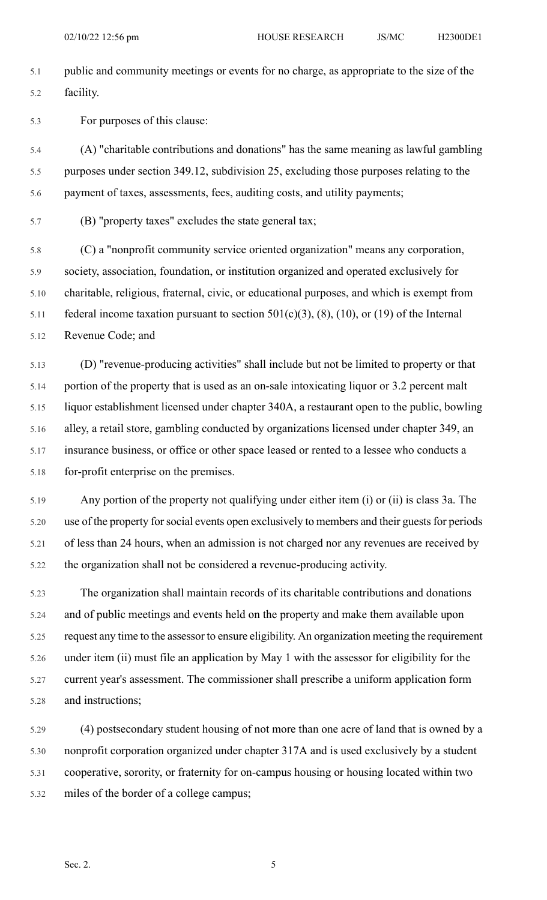5.1 public and community meetings or events for no charge, as appropriate to the size of the 5.2 facility.

5.3 For purposes of this clause:

5.4 (A) "charitable contributions and donations" has the same meaning as lawful gambling 5.5 purposes under section 349.12, subdivision 25, excluding those purposes relating to the 5.6 payment of taxes, assessments, fees, auditing costs, and utility payments;

5.7 (B) "property taxes" excludes the state general tax;

5.8 (C) a "nonprofit community service oriented organization" means any corporation, 5.9 society, association, foundation, or institution organized and operated exclusively for 5.10 charitable, religious, fraternal, civic, or educational purposes, and which is exempt from 5.11 federal income taxation pursuant to section  $501(c)(3)$ ,  $(8)$ ,  $(10)$ , or  $(19)$  of the Internal 5.12 Revenue Code; and

5.13 (D) "revenue-producing activities" shall include but not be limited to property or that 5.14 portion of the property that is used as an on-sale intoxicating liquor or 3.2 percent malt 5.15 liquor establishment licensed under chapter 340A, a restaurant open to the public, bowling 5.16 alley, a retail store, gambling conducted by organizations licensed under chapter 349, an 5.17 insurance business, or office or other space leased or rented to a lessee who conducts a 5.18 for-profit enterprise on the premises.

5.19 Any portion of the property not qualifying under either item (i) or (ii) is class 3a. The 5.20 use of the property for social events open exclusively to members and their guests for periods 5.21 of less than 24 hours, when an admission is not charged nor any revenues are received by 5.22 the organization shall not be considered a revenue-producing activity.

5.23 The organization shall maintain records of its charitable contributions and donations 5.24 and of public meetings and events held on the property and make them available upon 5.25 request any time to the assessor to ensure eligibility. An organization meeting the requirement 5.26 under item (ii) must file an application by May 1 with the assessor for eligibility for the 5.27 current year's assessment. The commissioner shall prescribe a uniform application form 5.28 and instructions;

5.29 (4) postsecondary student housing of not more than one acre of land that is owned by a 5.30 nonprofit corporation organized under chapter 317A and is used exclusively by a student 5.31 cooperative, sorority, or fraternity for on-campus housing or housing located within two 5.32 miles of the border of a college campus;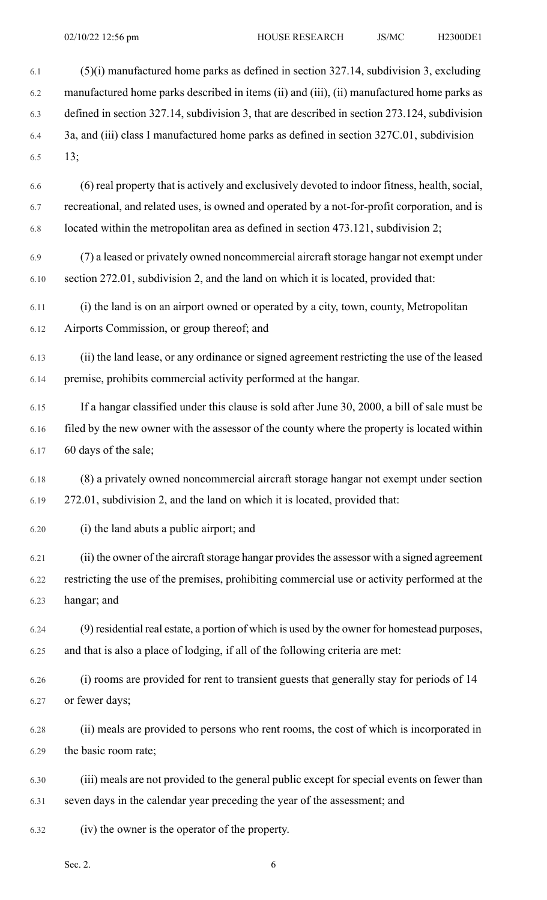| 6.1  | $(5)(i)$ manufactured home parks as defined in section 327.14, subdivision 3, excluding       |
|------|-----------------------------------------------------------------------------------------------|
| 6.2  | manufactured home parks described in items (ii) and (iii), (ii) manufactured home parks as    |
| 6.3  | defined in section 327.14, subdivision 3, that are described in section 273.124, subdivision  |
| 6.4  | 3a, and (iii) class I manufactured home parks as defined in section 327C.01, subdivision      |
| 6.5  | 13;                                                                                           |
| 6.6  | (6) real property that is actively and exclusively devoted to indoor fitness, health, social, |
| 6.7  | recreational, and related uses, is owned and operated by a not-for-profit corporation, and is |
| 6.8  | located within the metropolitan area as defined in section 473.121, subdivision 2;            |
| 6.9  | (7) a leased or privately owned noncommercial aircraft storage hangar not exempt under        |
| 6.10 | section 272.01, subdivision 2, and the land on which it is located, provided that:            |
| 6.11 | (i) the land is on an airport owned or operated by a city, town, county, Metropolitan         |
| 6.12 | Airports Commission, or group thereof; and                                                    |
| 6.13 | (ii) the land lease, or any ordinance or signed agreement restricting the use of the leased   |
| 6.14 | premise, prohibits commercial activity performed at the hangar.                               |
| 6.15 | If a hangar classified under this clause is sold after June 30, 2000, a bill of sale must be  |
| 6.16 | filed by the new owner with the assessor of the county where the property is located within   |
| 6.17 | 60 days of the sale;                                                                          |
| 6.18 | (8) a privately owned noncommercial aircraft storage hangar not exempt under section          |
| 6.19 | 272.01, subdivision 2, and the land on which it is located, provided that:                    |
| 6.20 | (i) the land abuts a public airport; and                                                      |
| 6.21 | (ii) the owner of the aircraft storage hangar provides the assessor with a signed agreement   |
| 6.22 | restricting the use of the premises, prohibiting commercial use or activity performed at the  |
| 6.23 | hangar; and                                                                                   |
| 6.24 | (9) residential real estate, a portion of which is used by the owner for homestead purposes,  |
| 6.25 | and that is also a place of lodging, if all of the following criteria are met:                |
| 6.26 | (i) rooms are provided for rent to transient guests that generally stay for periods of 14     |
| 6.27 | or fewer days;                                                                                |
| 6.28 | (ii) meals are provided to persons who rent rooms, the cost of which is incorporated in       |
| 6.29 | the basic room rate;                                                                          |
| 6.30 | (iii) meals are not provided to the general public except for special events on fewer than    |
| 6.31 | seven days in the calendar year preceding the year of the assessment; and                     |
| 6.32 | (iv) the owner is the operator of the property.                                               |
|      |                                                                                               |

Sec. 2.  $6<sup>6</sup>$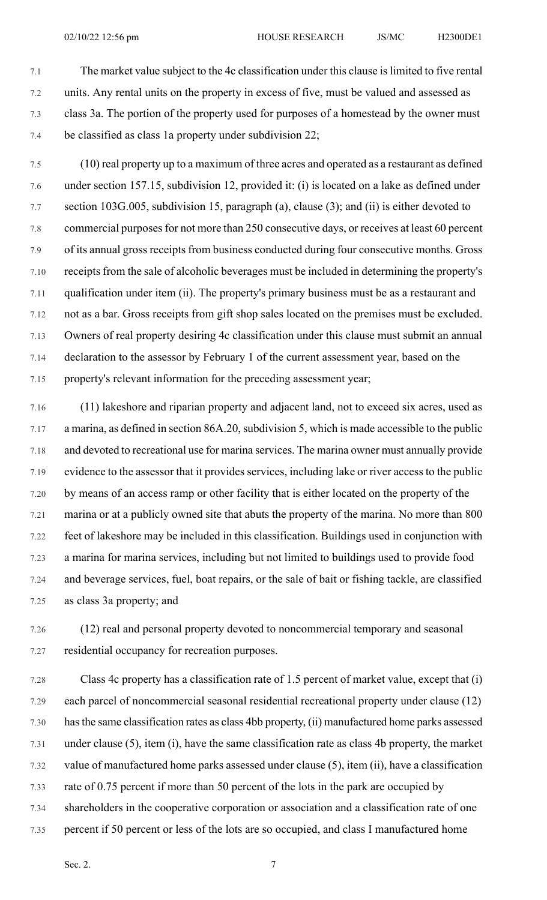- 7.1 The market value subject to the 4c classification under this clause is limited to five rental 7.2 units. Any rental units on the property in excess of five, must be valued and assessed as 7.3 class 3a. The portion of the property used for purposes of a homestead by the owner must 7.4 be classified as class 1a property under subdivision 22;
- 7.5 (10) real property up to a maximum of three acres and operated as a restaurant as defined 7.6 under section 157.15, subdivision 12, provided it: (i) is located on a lake as defined under 7.7 section 103G.005, subdivision 15, paragraph (a), clause (3); and (ii) is either devoted to 7.8 commercial purposesfor not more than 250 consecutive days, or receives at least 60 percent 7.9 of its annual gross receipts from business conducted during four consecutive months. Gross 7.10 receipts from the sale of alcoholic beverages must be included in determining the property's 7.11 qualification under item (ii). The property's primary business must be as a restaurant and 7.12 not as a bar. Gross receipts from gift shop sales located on the premises must be excluded. 7.13 Owners of real property desiring 4c classification under this clause must submit an annual 7.14 declaration to the assessor by February 1 of the current assessment year, based on the 7.15 property's relevant information for the preceding assessment year;
- 7.16 (11) lakeshore and riparian property and adjacent land, not to exceed six acres, used as 7.17 a marina, as defined in section 86A.20, subdivision 5, which is made accessible to the public 7.18 and devoted to recreational use for marina services. The marina owner must annually provide 7.19 evidence to the assessor that it provides services, including lake or river access to the public 7.20 by means of an access ramp or other facility that is either located on the property of the 7.21 marina or at a publicly owned site that abuts the property of the marina. No more than 800 7.22 feet of lakeshore may be included in this classification. Buildings used in conjunction with 7.23 a marina for marina services, including but not limited to buildings used to provide food 7.24 and beverage services, fuel, boat repairs, or the sale of bait or fishing tackle, are classified 7.25 as class 3a property; and
- 7.26 (12) real and personal property devoted to noncommercial temporary and seasonal 7.27 residential occupancy for recreation purposes.
- 7.28 Class 4c property has a classification rate of 1.5 percent of market value, except that (i) 7.29 each parcel of noncommercial seasonal residential recreational property under clause (12) 7.30 hasthe same classification rates as class 4bb property, (ii) manufactured home parks assessed 7.31 under clause (5), item (i), have the same classification rate as class 4b property, the market 7.32 value of manufactured home parks assessed under clause (5), item (ii), have a classification 7.33 rate of 0.75 percent if more than 50 percent of the lots in the park are occupied by 7.34 shareholders in the cooperative corporation or association and a classification rate of one 7.35 percent if 50 percent or less of the lots are so occupied, and class I manufactured home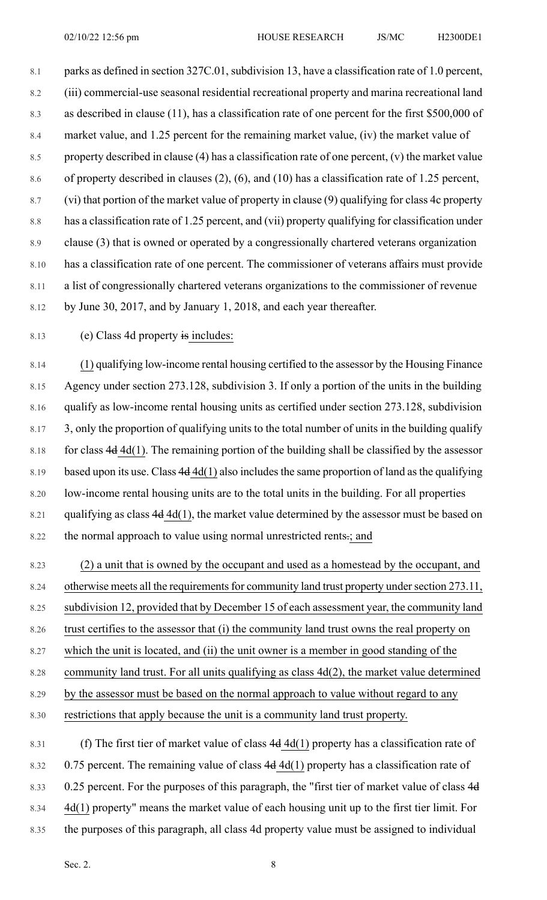8.1 parks as defined in section 327C.01, subdivision 13, have a classification rate of 1.0 percent, 8.2 (iii) commercial-use seasonal residential recreational property and marina recreational land 8.3 as described in clause (11), has a classification rate of one percent for the first \$500,000 of 8.4 market value, and 1.25 percent for the remaining market value, (iv) the market value of 8.5 property described in clause (4) has a classification rate of one percent, (v) the market value 8.6 of property described in clauses (2), (6), and (10) has a classification rate of 1.25 percent, 8.7 (vi) that portion of the market value of property in clause (9) qualifying for class 4c property 8.8 has a classification rate of 1.25 percent, and (vii) property qualifying for classification under 8.9 clause (3) that is owned or operated by a congressionally chartered veterans organization 8.10 has a classification rate of one percent. The commissioner of veterans affairs must provide 8.11 a list of congressionally chartered veterans organizations to the commissioner of revenue 8.12 by June 30, 2017, and by January 1, 2018, and each year thereafter.

8.13 (e) Class 4d property is includes:

8.14 (1) qualifying low-income rental housing certified to the assessor by the Housing Finance 8.15 Agency under section 273.128, subdivision 3. If only a portion of the units in the building 8.16 qualify as low-income rental housing units as certified under section 273.128, subdivision 8.17 3, only the proportion of qualifying units to the total number of units in the building qualify 8.18 for class  $4d$  4d(1). The remaining portion of the building shall be classified by the assessor 8.19 based upon its use. Class  $4d$  4d(1) also includes the same proportion of land as the qualifying 8.20 low-income rental housing units are to the total units in the building. For all properties 8.21 qualifying as class  $4d$  4d(1), the market value determined by the assessor must be based on 8.22 the normal approach to value using normal unrestricted rents.; and

8.23 (2) a unit that is owned by the occupant and used as a homestead by the occupant, and 8.24 otherwise meets all the requirements for community land trust property under section 273.11, 8.25 subdivision 12, provided that by December 15 of each assessment year, the community land 8.26 trust certifies to the assessor that (i) the community land trust owns the real property on 8.27 which the unit is located, and (ii) the unit owner is a member in good standing of the 8.28 community land trust. For all units qualifying as class 4d(2), the market value determined 8.29 by the assessor must be based on the normal approach to value without regard to any 8.30 restrictions that apply because the unit is a community land trust property.

8.31 (f) The first tier of market value of class  $4d \cdot 4d(1)$  property has a classification rate of 8.32 0.75 percent. The remaining value of class 4d 4d(1) property has a classification rate of 8.33 0.25 percent. For the purposes of this paragraph, the "first tier of market value of class 4d 8.34 4d(1) property" means the market value of each housing unit up to the first tier limit. For 8.35 the purposes of this paragraph, all class 4d property value must be assigned to individual